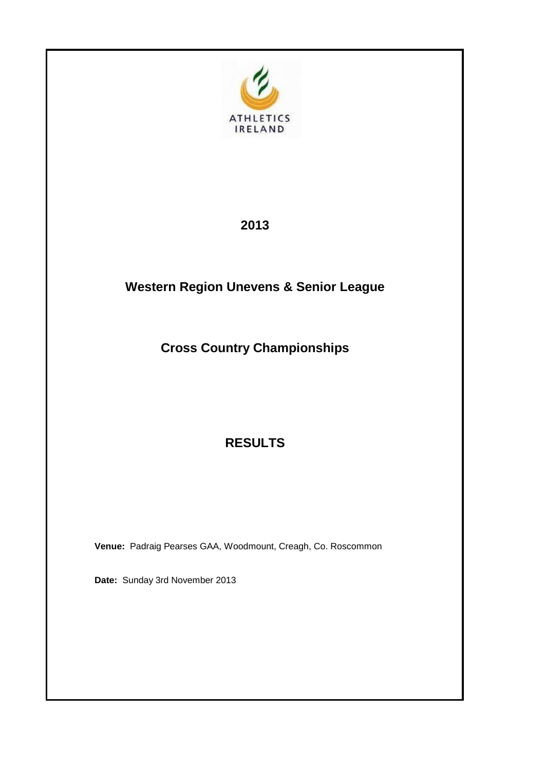

## **2013**

# **Western Region Unevens & Senior League**

# **Cross Country Championships**

## **RESULTS**

**Venue:** Padraig Pearses GAA, Woodmount, Creagh, Co. Roscommon

**Date:** Sunday 3rd November 2013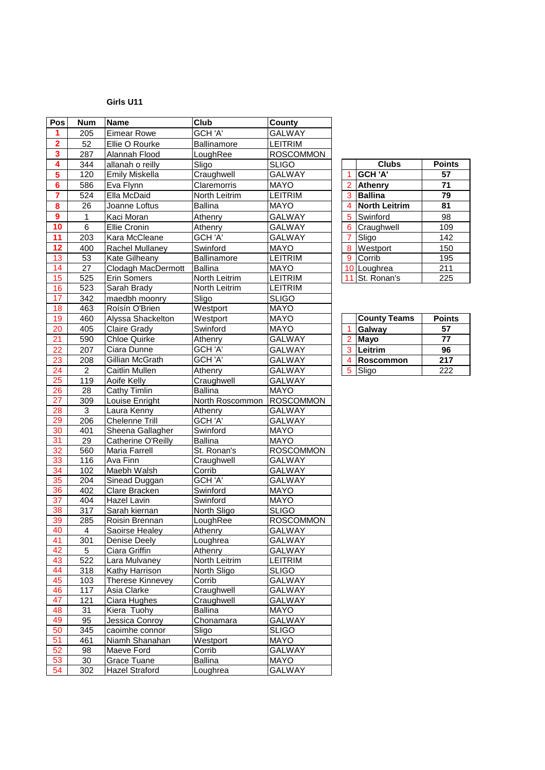| Pos                     | <b>Num</b>              | <b>Name</b>                     | Club                  | County                        |                |                               |               |
|-------------------------|-------------------------|---------------------------------|-----------------------|-------------------------------|----------------|-------------------------------|---------------|
| 1                       | 205                     | <b>Eimear Rowe</b>              | GCH 'A'               | <b>GALWAY</b>                 |                |                               |               |
| $\mathbf 2$             | 52                      | Ellie O Rourke                  | Ballinamore           | <b>LEITRIM</b>                |                |                               |               |
| $\overline{\mathbf{3}}$ | 287                     | Alannah Flood                   | LoughRee              | <b>ROSCOMMON</b>              |                |                               |               |
| 4                       | 344                     | allanah o reilly                | Sligo                 | <b>SLIGO</b>                  |                | <b>Clubs</b>                  | <b>Points</b> |
| 5                       | 120                     | Emily Miskella                  | Craughwell            | <b>GALWAY</b>                 | $\mathbf{1}$   | GCH 'A'                       | 57            |
| $6\phantom{a}$          | 586                     | Eva Flynn                       | Claremorris           | <b>MAYO</b>                   | $\overline{2}$ | Athenry                       | 71            |
| $\overline{7}$          | 524                     | Ella McDaid                     | North Leitrim         | <b>LEITRIM</b>                | 3              | <b>Ballina</b>                | 79            |
| 8                       | 26                      | Joanne Loftus                   | <b>Ballina</b>        | <b>MAYO</b>                   | $\overline{4}$ | <b>North Leitrim</b>          | 81            |
| $\boldsymbol{9}$        | 1                       | Kaci Moran                      | Athenry               | <b>GALWAY</b>                 | 5              | Swinford                      | 98            |
| 10                      | $\,6\,$                 | <b>Ellie Cronin</b>             |                       | <b>GALWAY</b>                 | $6\phantom{a}$ | Craughwell                    | 109           |
| 11                      | 203                     | Kara McCleane                   | Athenry               |                               | $\overline{7}$ |                               |               |
| 12                      |                         |                                 | GCH 'A'               | GALWAY                        |                | Sligo                         | 142           |
| 13                      | 400                     | Rachel Mullaney                 | Swinford              | <b>MAYO</b>                   | 8              | Westport                      | 150           |
| 14                      | 53<br>$\overline{27}$   | Kate Gilheany                   | Ballinamore           | <b>LEITRIM</b>                | 9              | Corrib                        | 195<br>211    |
| 15                      | 525                     | Clodagh MacDermott              | <b>Ballina</b>        | <b>MAYO</b>                   |                | 10 Loughrea<br>11 St. Ronan's | 225           |
| 16                      | 523                     | <b>Erin Somers</b>              | North Leitrim         | <b>LEITRIM</b><br>LEITRIM     |                |                               |               |
|                         |                         | Sarah Brady                     | North Leitrim         |                               |                |                               |               |
| 17<br>18                | 342                     | maedbh moonry                   | Sligo                 | <b>SLIGO</b>                  |                |                               |               |
|                         | 463<br>460              | Roísín O'Brien                  | Westport              | <b>MAYO</b>                   |                |                               |               |
| 19                      |                         | Alyssa Shackelton               | Westport              | <b>MAYO</b>                   |                | <b>County Teams</b>           | <b>Points</b> |
| 20                      | 405                     | <b>Claire Grady</b>             | Swinford              | <b>MAYO</b>                   | $\mathbf{1}$   | Galway                        | 57            |
| 21                      | 590                     | <b>Chloe Quirke</b>             | Athenry               | <b>GALWAY</b>                 | $\overline{2}$ | Mayo                          | 77            |
| 22                      | 207                     | Ciara Dunne                     | GCH 'A'               | <b>GALWAY</b>                 | 3              | Leitrim                       | 96            |
| $\overline{23}$         | 208                     | Gillian McGrath                 | GCH 'A'               | <b>GALWAY</b>                 | $\overline{4}$ | <b>Roscommon</b>              | 217           |
| 24                      | $\overline{c}$          | Caitlin Mullen                  | Athenry               | <b>GALWAY</b>                 | $\overline{5}$ | Sligo                         | 222           |
| 25                      | 119                     | Aoife Kelly                     | Craughwell            | GALWAY                        |                |                               |               |
| 26                      | 28                      | Cathy Timlin                    | <b>Ballina</b>        | <b>MAYO</b>                   |                |                               |               |
| 27                      | 309                     | Louise Enright                  | North Roscommon       | <b>ROSCOMMON</b>              |                |                               |               |
| 28                      | 3                       | Laura Kenny                     | Athenry               | <b>GALWAY</b>                 |                |                               |               |
| 29                      | 206                     | <b>Chelenne Trill</b>           | GCH 'A'               | <b>GALWAY</b>                 |                |                               |               |
| 30                      | 401                     | Sheena Gallagher                | Swinford              | <b>MAYO</b>                   |                |                               |               |
| 31                      | 29                      | Catherine O'Reilly              | <b>Ballina</b>        | <b>MAYO</b>                   |                |                               |               |
| 32<br>33                | 560                     | Maria Farrell                   | St. Ronan's           | <b>ROSCOMMON</b>              |                |                               |               |
|                         | 116                     | Ava Finn                        | Craughwell            | <b>GALWAY</b>                 |                |                               |               |
| 34                      | 102                     | Maebh Walsh                     | Corrib<br>GCH 'A'     | <b>GALWAY</b>                 |                |                               |               |
| 35                      | 204<br>402              | Sinead Duggan<br>Clare Bracken  |                       | <b>GALWAY</b><br><b>MAYO</b>  |                |                               |               |
| 36<br>37                | 404                     | Hazel Lavin                     | Swinford              |                               |                |                               |               |
| 38                      | $31\overline{7}$        |                                 | Swinford              | <b>MAYO</b>                   |                |                               |               |
| 39                      | 285                     | Sarah kiernan<br>Roisin Brennan | North Sligo           | <b>SLIGO</b>                  |                |                               |               |
| 40                      | $\overline{\mathbf{4}}$ |                                 | LoughRee              | <b>ROSCOMMON</b>              |                |                               |               |
| 41                      | 301                     | Saoirse Healey<br>Denise Deely  | Athenry<br>Loughrea   | GALWAY<br><b>GALWAY</b>       |                |                               |               |
| 42                      | 5                       | Ciara Griffin                   | Athenry               | <b>GALWAY</b>                 |                |                               |               |
| 43                      | 522                     | Lara Mulvaney                   | North Leitrim         | LEITRIM                       |                |                               |               |
| 44                      | 318                     | Kathy Harrison                  |                       |                               |                |                               |               |
| 45                      | 103                     | Therese Kinnevey                | North Sligo<br>Corrib | <b>SLIGO</b><br><b>GALWAY</b> |                |                               |               |
| 46                      | 117                     | Asia Clarke                     | Craughwell            | <b>GALWAY</b>                 |                |                               |               |
| 47                      | 121                     | Ciara Hughes                    | Craughwell            | GALWAY                        |                |                               |               |
| 48                      | 31                      | Kiera Tuohy                     | <b>Ballina</b>        | <b>MAYO</b>                   |                |                               |               |
| 49                      | 95                      | Jessica Conroy                  | Chonamara             | GALWAY                        |                |                               |               |
| 50                      | 345                     | caoimhe connor                  | Sligo                 | <b>SLIGO</b>                  |                |                               |               |
| 51                      | 461                     | Niamh Shanahan                  | Westport              | <b>MAYO</b>                   |                |                               |               |
| 52                      | 98                      | Maeve Ford                      | Corrib                | <b>GALWAY</b>                 |                |                               |               |
| 53                      | 30                      | Grace Tuane                     | <b>Ballina</b>        | <b>MAYO</b>                   |                |                               |               |
| 54                      | 302                     | Hazel Straford                  | Loughrea              | GALWAY                        |                |                               |               |
|                         |                         |                                 |                       |                               |                |                               |               |

|                | <b>Clubs</b>         | <b>Points</b> |
|----------------|----------------------|---------------|
| 1              | GCH 'A'              | 57            |
| $\overline{2}$ | <b>Athenry</b>       | 71            |
| 3              | <b>Ballina</b>       | 79            |
| 4              | <b>North Leitrim</b> | 81            |
| 5              | Swinford             | 98            |
| 6              | Craughwell           | 109           |
| 7              | Sligo                | 142           |
| 8              | Westport             | 150           |
| 9              | Corrib               | 195           |
| 10             | Loughrea             | 211           |
| 11             | St. Ronan's          | 225           |

|                | <b>County Teams</b> | <b>Points</b> |
|----------------|---------------------|---------------|
|                | Galway              | 57            |
| $\overline{2}$ | Mayo                | 77            |
| $\mathbf{3}$   | Leitrim             | 96            |
| 4              | <b>Roscommon</b>    | 217           |
| 5              | Sligo               | 222           |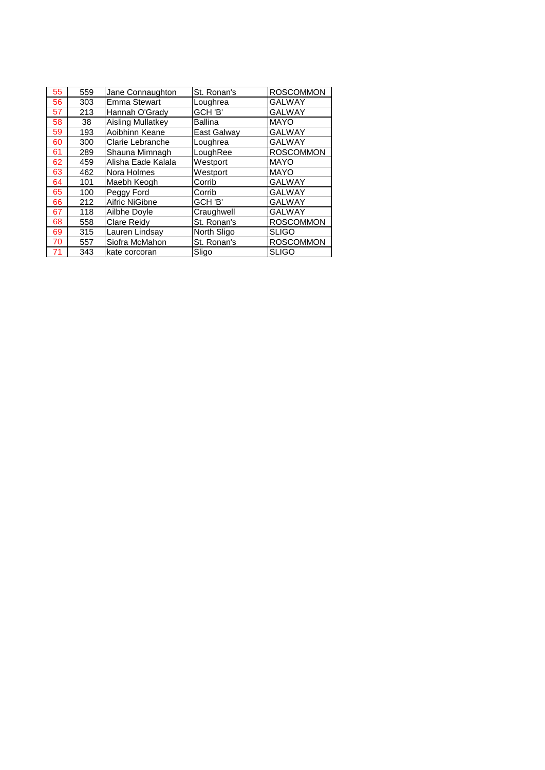| 55 | 559 | Jane Connaughton         | St. Ronan's    | <b>ROSCOMMON</b> |
|----|-----|--------------------------|----------------|------------------|
| 56 | 303 | <b>Emma Stewart</b>      | Loughrea       | <b>GALWAY</b>    |
| 57 | 213 | Hannah O'Grady           | GCH 'B'        | <b>GALWAY</b>    |
| 58 | 38  | <b>Aisling Mullatkey</b> | <b>Ballina</b> | <b>MAYO</b>      |
| 59 | 193 | Aoibhinn Keane           | East Galway    | <b>GALWAY</b>    |
| 60 | 300 | Clarie Lebranche         | Loughrea       | <b>GALWAY</b>    |
| 61 | 289 | Shauna Mimnagh           | LoughRee       | <b>ROSCOMMON</b> |
| 62 | 459 | Alisha Eade Kalala       | Westport       | <b>MAYO</b>      |
| 63 | 462 | Nora Holmes              | Westport       | <b>MAYO</b>      |
| 64 | 101 | Maebh Keogh              | Corrib         | <b>GALWAY</b>    |
| 65 | 100 | Peggy Ford               | Corrib         | <b>GALWAY</b>    |
| 66 | 212 | Aifric NiGibne           | GCH 'B'        | <b>GALWAY</b>    |
| 67 | 118 | Ailbhe Doyle             | Craughwell     | <b>GALWAY</b>    |
| 68 | 558 | Clare Reidy              | St. Ronan's    | <b>ROSCOMMON</b> |
| 69 | 315 | Lauren Lindsav           | North Sligo    | <b>SLIGO</b>     |
| 70 | 557 | Siofra McMahon           | St. Ronan's    | <b>ROSCOMMON</b> |
| 71 | 343 | kate corcoran            | Sligo          | <b>SLIGO</b>     |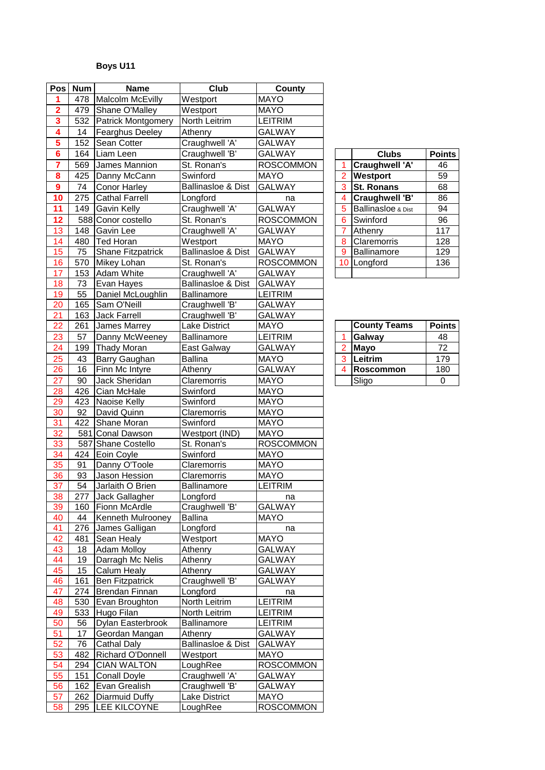| Pos                     | <b>Num</b> | <b>Name</b>                                  | Club                          | County           |                |                               |               |
|-------------------------|------------|----------------------------------------------|-------------------------------|------------------|----------------|-------------------------------|---------------|
| 1                       |            | 478 Malcolm McEvilly                         | Westport                      | <b>MAYO</b>      |                |                               |               |
| $\overline{\mathbf{2}}$ | 479        | Shane O'Malley                               | Westport                      | <b>MAYO</b>      |                |                               |               |
| 3                       |            | 532 Patrick Montgomery                       | North Leitrim                 | <b>LEITRIM</b>   |                |                               |               |
| 4                       | 14         | <b>Fearghus Deeley</b>                       | Athenry                       | GALWAY           |                |                               |               |
| 5                       | 152        | Sean Cotter                                  | Craughwell 'A'                | <b>GALWAY</b>    |                |                               |               |
| $6\phantom{1}6$         | 164        | Liam Leen                                    | Craughwell 'B'                | <b>GALWAY</b>    |                | <b>Clubs</b>                  | <b>Points</b> |
| $\overline{\mathbf{r}}$ | 569        | James Mannion                                | St. Ronan's                   | <b>ROSCOMMON</b> | 1              | Craughwell 'A'                | 46            |
| 8                       | 425        | Danny McCann                                 | Swinford                      | <b>MAYO</b>      | $\overline{2}$ | Westport                      | 59            |
| $\boldsymbol{9}$        | 74         | <b>Conor Harley</b>                          | <b>Ballinasloe &amp; Dist</b> | <b>GALWAY</b>    | 3              | <b>St. Ronans</b>             | 68            |
| 10                      | 275        | <b>Cathal Farrell</b>                        | Longford                      | na               | 4              | Craughwell 'B'                | 86            |
| 11                      | 149        | Gavin Kelly                                  | Craughwell 'A'                | <b>GALWAY</b>    | 5              | <b>Ballinasloe &amp; Dist</b> | 94            |
| 12                      |            | 588 Conor costello                           | St. Ronan's                   | <b>ROSCOMMON</b> | 6              | Swinford                      | 96            |
| 13                      | 148        | Gavin Lee                                    | Craughwell 'A'                | <b>GALWAY</b>    | $\overline{7}$ | Athenry                       |               |
|                         |            |                                              | Westport                      |                  |                | Claremorris                   | 117           |
| 14<br>15                | 480        | <b>Ted Horan</b><br><b>Shane Fitzpatrick</b> | Ballinasloe & Dist            | <b>MAYO</b>      | 8<br>9         | Ballinamore                   | 128           |
|                         | 75<br>570  |                                              |                               | GALWAY           |                |                               | 129           |
| 16<br>17                |            | Mikey Lohan                                  | St. Ronan's                   | <b>ROSCOMMON</b> | 10             | Longford                      | 136           |
|                         | 153        | Adam White                                   | Craughwell 'A'                | <b>GALWAY</b>    |                |                               |               |
| 18                      | 73         | Evan Hayes                                   | Ballinasloe & Dist            | <b>GALWAY</b>    |                |                               |               |
| 19                      | 55         | Daniel McLoughlin                            | Ballinamore                   | <b>LEITRIM</b>   |                |                               |               |
| 20                      | 165        | Sam O'Neill                                  | Craughwell 'B'                | GALWAY           |                |                               |               |
| 21                      | 163        | <b>Jack Farrell</b>                          | Craughwell 'B'                | <b>GALWAY</b>    |                |                               |               |
| 22                      | 261        | James Marrey                                 | Lake District                 | <b>MAYO</b>      |                | <b>County Teams</b>           | <b>Points</b> |
| 23                      | 57         | Danny McWeeney                               | Ballinamore                   | <b>LEITRIM</b>   | $\mathbf{1}$   | Galway                        | 48            |
| 24                      | 199        | <b>Thady Moran</b>                           | East Galway                   | <b>GALWAY</b>    | $\overline{2}$ | <b>Mayo</b>                   | 72            |
| 25                      | 43         | Barry Gaughan                                | <b>Ballina</b>                | <b>MAYO</b>      | 3              | Leitrim                       | 179           |
| 26                      | 16         | Finn Mc Intyre                               | Athenry                       | <b>GALWAY</b>    | $\overline{4}$ | <b>Roscommon</b>              | 180           |
| 27                      | 90         | Jack Sheridan                                | Claremorris                   | <b>MAYO</b>      |                | Sligo                         | 0             |
| 28                      | 426        | Cian McHale                                  | Swinford                      | <b>MAYO</b>      |                |                               |               |
| 29                      | 423        | Naoise Kelly                                 | Swinford                      | <b>MAYO</b>      |                |                               |               |
| 30                      | 92         | David Quinn                                  | Claremorris                   | <b>MAYO</b>      |                |                               |               |
| 31                      | 422        | Shane Moran                                  | Swinford                      | <b>MAYO</b>      |                |                               |               |
| 32                      | 581        | Conal Dawson                                 | Westport (IND)                | <b>MAYO</b>      |                |                               |               |
| 33                      | 587        | Shane Costello                               | St. Ronan's                   | <b>ROSCOMMON</b> |                |                               |               |
| 34                      | 424        | Eoin Coyle                                   | Swinford                      | <b>MAYO</b>      |                |                               |               |
| 35                      | 91         | Danny O'Toole                                | Claremorris                   | <b>MAYO</b>      |                |                               |               |
| 36                      | 93         | Jason Hession                                | Claremorris                   | <b>MAYO</b>      |                |                               |               |
| 37                      | 54         | Jarlaith O Brien                             | Ballinamore                   | <b>LEITRIM</b>   |                |                               |               |
| 38                      | 277        | Jack Gallagher                               | Longford                      | na               |                |                               |               |
| 39                      | 160        | Fionn McArdle                                | Craughwell 'B'                | <b>GALWAY</b>    |                |                               |               |
| 40                      | 44         | Kenneth Mulrooney                            | <b>Ballina</b>                | <b>MAYO</b>      |                |                               |               |
| 41                      | 276        | James Galligan                               | Longford                      | na               |                |                               |               |
| 42                      | 481        | Sean Healy                                   | Westport                      | <b>MAYO</b>      |                |                               |               |
| 43                      | 18         | Adam Molloy                                  | Athenry                       | GALWAY           |                |                               |               |
| 44                      | 19         | Darragh Mc Nelis                             | Athenry                       | GALWAY           |                |                               |               |
| 45                      | 15         | Calum Healy                                  | Athenry                       | GALWAY           |                |                               |               |
| 46                      | 161        | <b>Ben Fitzpatrick</b>                       | Craughwell 'B'                | <b>GALWAY</b>    |                |                               |               |
| 47                      | 274        | Brendan Finnan                               | Longford                      | na               |                |                               |               |
| 48                      | 530        | Evan Broughton                               | North Leitrim                 | LEITRIM          |                |                               |               |
| 49                      | 533        | Hugo Filan                                   | North Leitrim                 | LEITRIM          |                |                               |               |
| 50                      | 56         | Dylan Easterbrook                            | Ballinamore                   | <b>LEITRIM</b>   |                |                               |               |
| 51                      | 17         | Geordan Mangan                               | Athenry                       | GALWAY           |                |                               |               |
| 52                      | 76         | Cathal Daly                                  | Ballinasloe & Dist            | <b>GALWAY</b>    |                |                               |               |
| 53                      | 482        | Richard O'Donnell                            | Westport                      | <b>MAYO</b>      |                |                               |               |
| 54                      | 294        | <b>CIAN WALTON</b>                           | LoughRee                      | <b>ROSCOMMON</b> |                |                               |               |
| 55                      | 151        | <b>Conall Doyle</b>                          | Craughwell 'A'                | <b>GALWAY</b>    |                |                               |               |
| 56                      |            | 162 Evan Grealish                            | Craughwell 'B'                | <b>GALWAY</b>    |                |                               |               |
| 57                      |            | 262 Diarmuid Duffy                           | Lake District                 | <b>MAYO</b>      |                |                               |               |
| 58                      |            | 295   LEE KILCOYNE                           | LoughRee                      | <b>ROSCOMMON</b> |                |                               |               |
|                         |            |                                              |                               |                  |                |                               |               |

|                | <b>Clubs</b>                  | <b>Points</b> |
|----------------|-------------------------------|---------------|
| 1              | Craughwell 'A'                | 46            |
| $\overline{2}$ | Westport                      | 59            |
| 3              | <b>St. Ronans</b>             | 68            |
| 4              | Craughwell 'B'                | 86            |
| 5              | <b>Ballinasloe &amp; Dist</b> | 94            |
| 6              | Swinford                      | 96            |
| 7              | Athenry                       | 117           |
| 8              | Claremorris                   | 128           |
| 9              | Ballinamore                   | 129           |
| 10             | Longford                      | 136           |
|                |                               |               |

|   | <b>County Teams</b> | <b>Points</b> |
|---|---------------------|---------------|
|   | Galway              | 48            |
| 2 | <b>Mayo</b>         | 72            |
| 3 | Leitrim             | 179           |
| 4 | <b>Roscommon</b>    | 180           |
|   | Sligo               |               |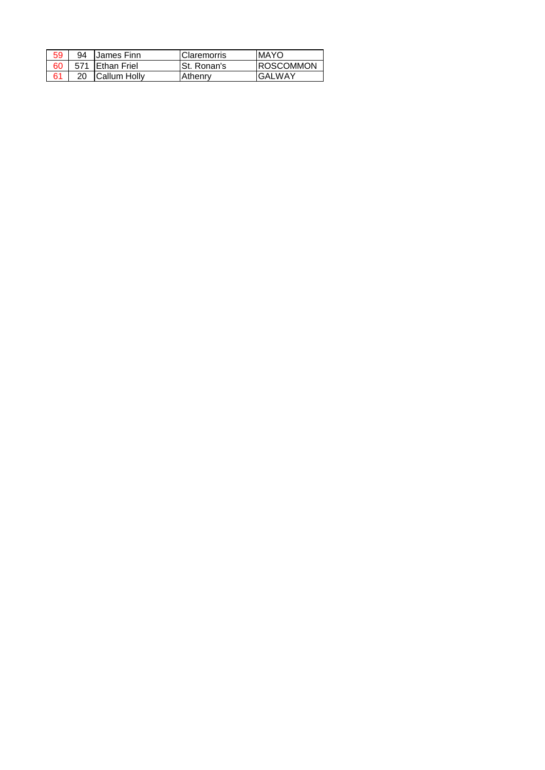| 59 | 94 | <b>IJames Finn</b>  | IClaremorris | <b>MAYO</b>       |
|----|----|---------------------|--------------|-------------------|
| 60 |    | 571 Ethan Friel     | ISt. Ronan's | <b>IROSCOMMON</b> |
|    |    | <b>Callum Holly</b> | Athenry      | GAI WAY           |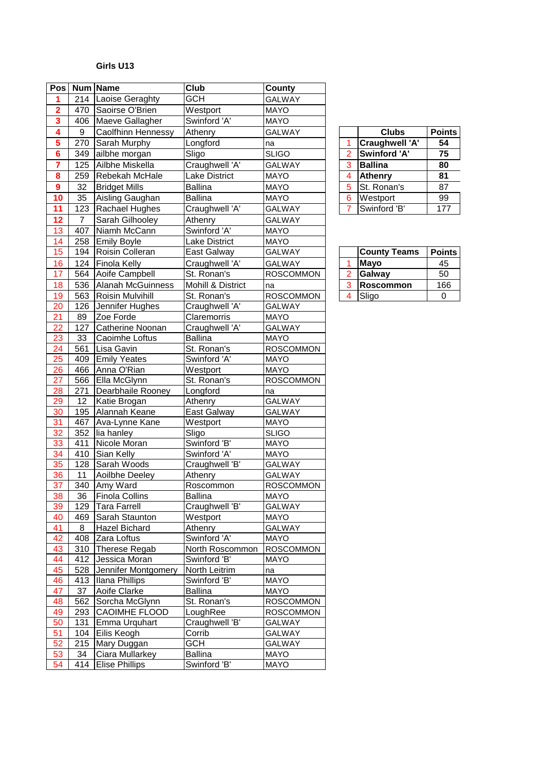| Pos                     |                | Num Name                              | Club                             | County           |                |                     |               |
|-------------------------|----------------|---------------------------------------|----------------------------------|------------------|----------------|---------------------|---------------|
| 1                       |                | 214 Laoise Geraghty                   | <b>GCH</b>                       | <b>GALWAY</b>    |                |                     |               |
| $\overline{\mathbf{2}}$ | 470            | Saoirse O'Brien                       | Westport                         | <b>MAYO</b>      |                |                     |               |
| 3                       | 406            | Maeve Gallagher                       | Swinford 'A'                     | <b>MAYO</b>      |                |                     |               |
| 4                       | 9              | Caolfhinn Hennessy                    | Athenry                          | <b>GALWAY</b>    |                | <b>Clubs</b>        | <b>Points</b> |
| $\overline{\mathbf{5}}$ | 270            | Sarah Murphy                          | Longford                         | na               | $\mathbf{1}$   | Craughwell 'A'      | 54            |
| $\overline{\bf{6}}$     | 349            | ailbhe morgan                         | Sligo                            | <b>SLIGO</b>     | $\overline{2}$ | <b>Swinford 'A'</b> | 75            |
| $\overline{\mathbf{7}}$ | 125            | Ailbhe Miskella                       | Craughwell 'A'                   | <b>GALWAY</b>    | 3              | <b>Ballina</b>      | 80            |
| 8                       | 259            | Rebekah McHale                        | <b>Lake District</b>             | <b>MAYO</b>      | 4              | Athenry             | 81            |
| $\boldsymbol{9}$        | 32             | <b>Bridget Mills</b>                  | <b>Ballina</b>                   | <b>MAYO</b>      | 5              | St. Ronan's         | 87            |
| 10                      | 35             | Aisling Gaughan                       | <b>Ballina</b>                   | <b>MAYO</b>      | 6              | Westport            | 99            |
| 11                      | 123            | Rachael Hughes                        | Craughwell 'A'                   | <b>GALWAY</b>    | $\overline{7}$ | Swinford 'B'        | 177           |
| 12                      | $\overline{7}$ | Sarah Gilhooley                       | Athenry                          | <b>GALWAY</b>    |                |                     |               |
| 13                      | 407            | Niamh McCann                          | Swinford 'A'                     | <b>MAYO</b>      |                |                     |               |
| 14                      | 258            | <b>Emily Boyle</b>                    | Lake District                    | <b>MAYO</b>      |                |                     |               |
| 15                      | 194            | Roisin Colleran                       | East Galway                      | <b>GALWAY</b>    |                | <b>County Teams</b> | <b>Points</b> |
| 16                      | 124            | Finola Kelly                          | Craughwell 'A'                   | <b>GALWAY</b>    | $\overline{1}$ | <b>Mayo</b>         | 45            |
| 17                      | 564            | Aoife Campbell                        | St. Ronan's                      | <b>ROSCOMMON</b> | $\overline{2}$ | Galway              | 50            |
|                         |                |                                       |                                  |                  | 3              |                     | 166           |
| 18                      | 536            | Alanah McGuinness<br>Roisin Mulvihill | Mohill & District<br>St. Ronan's | na               | 4              | Roscommon           |               |
| 19                      | 563            |                                       |                                  | <b>ROSCOMMON</b> |                | Sligo               | $\mathbf 0$   |
| 20                      |                | 126 Jennifer Hughes                   | Craughwell 'A'                   | GALWAY           |                |                     |               |
| 21                      | 89             | Zoe Forde                             | Claremorris                      | <b>MAYO</b>      |                |                     |               |
| 22                      | 127            | Catherine Noonan                      | Craughwell 'A'                   | <b>GALWAY</b>    |                |                     |               |
| 23                      | 33             | Caoimhe Loftus                        | <b>Ballina</b>                   | <b>MAYO</b>      |                |                     |               |
| 24                      | 561            | Lisa Gavin                            | St. Ronan's                      | <b>ROSCOMMON</b> |                |                     |               |
| 25                      | 409            | <b>Emily Yeates</b>                   | Swinford 'A'                     | <b>MAYO</b>      |                |                     |               |
| 26                      | 466            | Anna O'Rian                           | Westport                         | <b>MAYO</b>      |                |                     |               |
| 27                      | 566            | Ella McGlynn                          | St. Ronan's                      | <b>ROSCOMMON</b> |                |                     |               |
| 28                      | 271            | Dearbhaile Rooney                     | Longford                         | na               |                |                     |               |
| 29                      | 12             | Katie Brogan                          | Athenry                          | <b>GALWAY</b>    |                |                     |               |
| 30                      | 195            | Alannah Keane                         | East Galway                      | <b>GALWAY</b>    |                |                     |               |
| 31                      | 467            | Ava-Lynne Kane                        | Westport                         | <b>MAYO</b>      |                |                     |               |
| 32                      | 352            | lia hanley                            | Sligo                            | <b>SLIGO</b>     |                |                     |               |
| 33                      | 411            | Nicole Moran                          | Swinford 'B'                     | <b>MAYO</b>      |                |                     |               |
| 34                      | 410            | Sian Kelly                            | Swinford 'A'                     | <b>MAYO</b>      |                |                     |               |
| 35                      | 128            | Sarah Woods                           | Craughwell 'B'                   | GALWAY           |                |                     |               |
| 36                      | 11             | Aoilbhe Deeley                        | Athenry                          | GALWAY           |                |                     |               |
| 37                      | 340            | Amy Ward                              | Roscommon                        | <b>ROSCOMMON</b> |                |                     |               |
| 38                      | 36             | <b>Finola Collins</b>                 | <b>Ballina</b>                   | <b>MAYO</b>      |                |                     |               |
| 39                      | 129            | <b>Tara Farrell</b>                   | Craughwell 'B'                   | <b>GALWAY</b>    |                |                     |               |
| 40                      | 469            | Sarah Staunton                        | Westport                         | <b>MAYO</b>      |                |                     |               |
| 41                      | 8              | Hazel Bichard                         | Athenry                          | <b>GALWAY</b>    |                |                     |               |
| 42                      | 408            | Zara Loftus                           | Swinford 'A'                     | <b>MAYO</b>      |                |                     |               |
| 43                      | 310            | Therese Regab                         | North Roscommon                  | <b>ROSCOMMON</b> |                |                     |               |
| 44                      |                | 412 Jessica Moran                     | Swinford 'B'                     | <b>MAYO</b>      |                |                     |               |
| 45                      |                | 528 Jennifer Montgomery               | North Leitrim                    | na               |                |                     |               |
| 46                      |                | 413   Ilana Phillips                  | Swinford 'B'                     | <b>MAYO</b>      |                |                     |               |
| 47                      | 37             | Aoife Clarke                          | <b>Ballina</b>                   | <b>MAYO</b>      |                |                     |               |
| 48                      | 562            | Sorcha McGlynn                        | St. Ronan's                      | <b>ROSCOMMON</b> |                |                     |               |
| 49                      |                | 293 CAOIMHE FLOOD                     | LoughRee                         | ROSCOMMON        |                |                     |               |
| 50                      | 131            | Emma Urquhart                         | Craughwell 'B'                   | <b>GALWAY</b>    |                |                     |               |
| 51                      | 104            | Eilis Keogh                           | Corrib                           | <b>GALWAY</b>    |                |                     |               |
| 52                      | 215            | Mary Duggan                           | GCH                              | <b>GALWAY</b>    |                |                     |               |
| 53                      | 34             | Ciara Mullarkey                       | <b>Ballina</b>                   | <b>MAYO</b>      |                |                     |               |
| 54                      | 414            | <b>Elise Phillips</b>                 | Swinford 'B'                     | <b>MAYO</b>      |                |                     |               |

|                | <b>Clubs</b>       | <b>Points</b> |
|----------------|--------------------|---------------|
|                | Craughwell 'A'     | 54            |
| $\overline{2}$ | Swinford 'A'       | 75            |
| $\mathbf{3}$   | <b>Ballina</b>     | 80            |
| 4              | <b>Athenry</b>     | 81            |
| 5              | <b>St. Ronan's</b> | 87            |
| 6              | Westport           | 99            |
| 7              | Swinford 'B'       | 177           |

|   | <b>County Teams</b> | <b>Points</b> |
|---|---------------------|---------------|
|   | <b>Mayo</b>         | 45            |
| 2 | Galway              | 50            |
| 3 | ∣Roscommon          | 166           |
| 4 | Sligo               | 0             |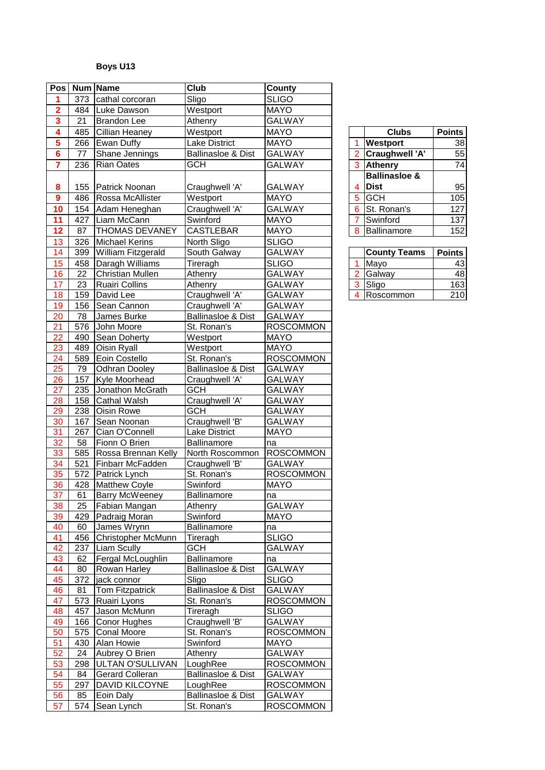| Pos                     |     | Num Name              | Club                          | County           |                |                          |               |
|-------------------------|-----|-----------------------|-------------------------------|------------------|----------------|--------------------------|---------------|
| 1                       | 373 | cathal corcoran       | Sligo                         | <b>SLIGO</b>     |                |                          |               |
| $\overline{\mathbf{2}}$ | 484 | Luke Dawson           | Westport                      | <b>MAYO</b>      |                |                          |               |
| $\overline{\mathbf{3}}$ | 21  | <b>Brandon Lee</b>    | Athenry                       | <b>GALWAY</b>    |                |                          |               |
| $\overline{\mathbf{4}}$ | 485 | Cillian Heaney        | Westport                      | <b>MAYO</b>      |                | <b>Clubs</b>             | <b>Points</b> |
| $\overline{\mathbf{5}}$ | 266 | Ewan Duffy            | Lake District                 | <b>MAYO</b>      | 1              | Westport                 | 38            |
| $6\phantom{a}$          | 77  | Shane Jennings        | <b>Ballinasloe &amp; Dist</b> | <b>GALWAY</b>    | $\overline{2}$ | Craughwell 'A'           | 55            |
| $\overline{7}$          | 236 | <b>Rian Oates</b>     | <b>GCH</b>                    | <b>GALWAY</b>    | 3              | <b>Athenry</b>           | 74            |
|                         |     |                       |                               |                  |                | <b>Ballinasloe &amp;</b> |               |
| 8                       | 155 | Patrick Noonan        | Craughwell 'A'                | <b>GALWAY</b>    | 4              | <b>Dist</b>              | 95            |
| 9                       | 486 | Rossa McAllister      | Westport                      | <b>MAYO</b>      | 5              | <b>GCH</b>               | 105           |
| 10                      | 154 | Adam Heneghan         | Craughwell 'A'                | <b>GALWAY</b>    | 6              | St. Ronan's              | 127           |
| 11                      | 427 | Liam McCann           | Swinford                      | <b>MAYO</b>      | 7              | Swinford                 | 137           |
| 12                      | 87  | <b>THOMAS DEVANEY</b> | <b>CASTLEBAR</b>              | <b>MAYO</b>      | 8              | Ballinamore              | 152           |
| 13                      | 326 | <b>Michael Kerins</b> |                               | <b>SLIGO</b>     |                |                          |               |
| 14                      | 399 | William Fitzgerald    | North Sligo<br>South Galway   | <b>GALWAY</b>    |                | <b>County Teams</b>      | <b>Points</b> |
| 15                      | 458 | Daragh Williams       | Tireragh                      | <b>SLIGO</b>     | 1              | Mayo                     |               |
| 16                      | 22  | Christian Mullen      | Athenry                       | <b>GALWAY</b>    | $\overline{2}$ | Galway                   | 43<br>48      |
| 17                      | 23  | <b>Ruairi Collins</b> | Athenry                       | <b>GALWAY</b>    | 3              | Sligo                    | 163           |
| 18                      | 159 | David Lee             | Craughwell 'A'                | <b>GALWAY</b>    | 4              | Roscommon                | 210           |
| 19                      | 156 | Sean Cannon           | Craughwell 'A'                | <b>GALWAY</b>    |                |                          |               |
| 20                      | 78  | James Burke           | Ballinasloe & Dist            | <b>GALWAY</b>    |                |                          |               |
| 21                      | 576 | John Moore            | St. Ronan's                   | <b>ROSCOMMON</b> |                |                          |               |
| 22                      | 490 | Sean Doherty          | Westport                      | <b>MAYO</b>      |                |                          |               |
| 23                      | 489 | <b>Oisin Ryall</b>    | Westport                      | <b>MAYO</b>      |                |                          |               |
| 24                      | 589 | Eoin Costello         | St. Ronan's                   | <b>ROSCOMMON</b> |                |                          |               |
| 25                      | 79  | <b>Odhran Dooley</b>  | <b>Ballinasloe &amp; Dist</b> | <b>GALWAY</b>    |                |                          |               |
| 26                      | 157 | Kyle Moorhead         | Craughwell 'A'                | <b>GALWAY</b>    |                |                          |               |
| 27                      | 235 | Jonathon McGrath      | GCH                           | <b>GALWAY</b>    |                |                          |               |
| 28                      | 158 | Cathal Walsh          | Craughwell 'A'                | <b>GALWAY</b>    |                |                          |               |
| 29                      | 238 | <b>Oisin Rowe</b>     | <b>GCH</b>                    | <b>GALWAY</b>    |                |                          |               |
| 30                      | 167 | Sean Noonan           | Craughwell 'B'                | <b>GALWAY</b>    |                |                          |               |
| 31                      | 267 | Cian O'Connell        | <b>Lake District</b>          | <b>MAYO</b>      |                |                          |               |
| 32                      | 58  | Fionn O Brien         | <b>Ballinamore</b>            | na               |                |                          |               |
| 33                      | 585 | Rossa Brennan Kelly   | North Roscommon               | <b>ROSCOMMON</b> |                |                          |               |
| 34                      | 521 | Finbarr McFadden      | Craughwell 'B'                | <b>GALWAY</b>    |                |                          |               |
| 35                      | 572 | Patrick Lynch         | St. Ronan's                   | <b>ROSCOMMON</b> |                |                          |               |
| 36                      | 428 | <b>Matthew Coyle</b>  | Swinford                      | <b>MAYO</b>      |                |                          |               |
| 37                      | 61  | <b>Barry McWeeney</b> | <b>Ballinamore</b>            | na               |                |                          |               |
| 38                      | 25  | Fabian Mangan         | Athenry                       | <b>GALWAY</b>    |                |                          |               |
| 39                      | 429 | Padraig Moran         | Swinford                      | <b>MAYO</b>      |                |                          |               |
| 40                      | 60  | James Wrynn           | Ballinamore                   | na               |                |                          |               |
| 41                      | 456 | Christopher McMunn    | Tireragh                      | <b>SLIGO</b>     |                |                          |               |
| 42                      | 237 | <b>Liam Scully</b>    | <b>GCH</b>                    | <b>GALWAY</b>    |                |                          |               |
| 43                      | 62  | Fergal McLoughlin     | Ballinamore                   | na               |                |                          |               |
| 44                      | 80  | Rowan Harley          | <b>Ballinasloe &amp; Dist</b> | <b>GALWAY</b>    |                |                          |               |
| 45                      | 372 | jack connor           | Sligo                         | <b>SLIGO</b>     |                |                          |               |
| 46                      | 81  | Tom Fitzpatrick       | Ballinasloe & Dist            | GALWAY           |                |                          |               |
| 47                      | 573 | Ruairi Lyons          | St. Ronan's                   | <b>ROSCOMMON</b> |                |                          |               |
| 48                      | 457 | Jason McMunn          | Tireragh                      | <b>SLIGO</b>     |                |                          |               |
| 49                      | 166 | Conor Hughes          | Craughwell 'B'                | <b>GALWAY</b>    |                |                          |               |
| 50                      | 575 | Conal Moore           | St. Ronan's                   | <b>ROSCOMMON</b> |                |                          |               |
| 51                      | 430 | Alan Howie            | Swinford                      | <b>MAYO</b>      |                |                          |               |
| 52                      | 24  | Aubrey O Brien        | Athenry                       | <b>GALWAY</b>    |                |                          |               |
| 53                      | 298 | ULTAN O'SULLIVAN      | LoughRee                      | <b>ROSCOMMON</b> |                |                          |               |
| 54                      | 84  | Gerard Colleran       | Ballinasloe & Dist            | <b>GALWAY</b>    |                |                          |               |
| 55                      | 297 | DAVID KILCOYNE        | LoughRee                      | <b>ROSCOMMON</b> |                |                          |               |
| 56                      | 85  | Eoin Daly             | <b>Ballinasloe &amp; Dist</b> | <b>GALWAY</b>    |                |                          |               |
| 57                      | 574 | Sean Lynch            | St. Ronan's                   | <b>ROSCOMMON</b> |                |                          |               |

|                | <b>Clubs</b>             | <b>Points</b> |
|----------------|--------------------------|---------------|
| 1              | <b>Westport</b>          | 38            |
| $\overline{2}$ | Craughwell 'A'           | 55            |
| 3              | Athenry                  | 74            |
|                | <b>Ballinasloe &amp;</b> |               |
| 4              | <b>Dist</b>              | 95            |
| 5              | <b>GCH</b>               | 105           |
| 6              | St. Ronan's              | 127           |
| 7              | Swinford                 | 137           |
| 8              | Ballinamore              | 152           |
|                |                          |               |

|               | County Teams | Points |
|---------------|--------------|--------|
|               | Mayo         | 43     |
| $\mathcal{P}$ | Galway       | 48     |
| 3             | Sligo        | 163    |
|               | Roscommon    | 210    |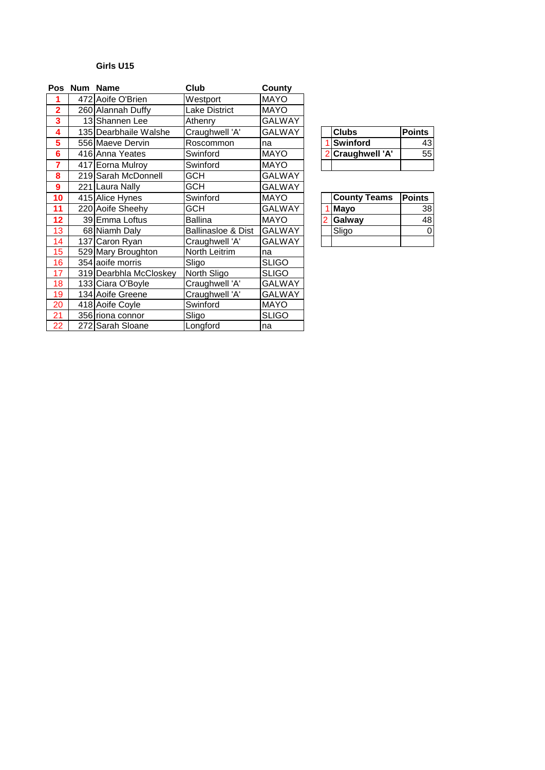|                 | Pos Num Name           | Club               | County        |  |                     |               |
|-----------------|------------------------|--------------------|---------------|--|---------------------|---------------|
|                 | 472 Aoife O'Brien      | Westport           | <b>MAYO</b>   |  |                     |               |
| $\overline{2}$  | 260 Alannah Duffy      | Lake District      | <b>MAYO</b>   |  |                     |               |
| 3               | 13 Shannen Lee         | Athenry            | <b>GALWAY</b> |  |                     |               |
| 4               | 135 Dearbhaile Walshe  | Craughwell 'A'     | <b>GALWAY</b> |  | <b>Clubs</b>        | <b>Points</b> |
| 5               | 556 Maeve Dervin       | Roscommon          | na            |  | <b>Swinford</b>     | 43            |
| 6               | 416 Anna Yeates        | Swinford           | <b>MAYO</b>   |  | Craughwell 'A'      | 55            |
| $\overline{7}$  | 417 Eorna Mulroy       | Swinford           | <b>MAYO</b>   |  |                     |               |
| 8               | 219 Sarah McDonnell    | GCH                | <b>GALWAY</b> |  |                     |               |
| 9               | 221 Laura Nally        | GCH                | <b>GALWAY</b> |  |                     |               |
| 10              | 415 Alice Hynes        | Swinford           | <b>MAYO</b>   |  | <b>County Teams</b> | Points        |
| 11              | 220 Aoife Sheehy       | GCH                | <b>GALWAY</b> |  | <b>Mayo</b>         | 38            |
| 12 <sub>2</sub> | 39 Emma Loftus         | <b>Ballina</b>     | <b>MAYO</b>   |  | Galway              | 48            |
| 13              | 68 Niamh Daly          | Ballinasloe & Dist | <b>GALWAY</b> |  | <b>Sligo</b>        | 0             |
| 14              | 137 Caron Ryan         | Craughwell 'A'     | <b>GALWAY</b> |  |                     |               |
| 15              | 529 Mary Broughton     | North Leitrim      | na            |  |                     |               |
| 16              | 354 aoife morris       | Sligo              | <b>SLIGO</b>  |  |                     |               |
| 17              | 319 Dearbhla McCloskey | North Sligo        | <b>SLIGO</b>  |  |                     |               |
| 18              | 133 Ciara O'Boyle      | Craughwell 'A'     | GALWAY        |  |                     |               |
| 19              | 134 Aoife Greene       | Craughwell 'A'     | <b>GALWAY</b> |  |                     |               |
| 20              | 418 Aoife Coyle        | Swinford           | <b>MAYO</b>   |  |                     |               |
| 21              | 356 riona connor       | Sligo              | <b>SLIGO</b>  |  |                     |               |
| 22              | 272 Sarah Sloane       | Longford           | na            |  |                     |               |

| <b>Clubs</b>     | <b>Points</b> |
|------------------|---------------|
| 1 Swinford       |               |
| 2 Craughwell 'A' | 55            |
|                  |               |

|   | <b>County Teams</b> | <b>Points</b> |
|---|---------------------|---------------|
|   | 1 Mayo              | 38            |
| 2 | Galway              | 48            |
|   | Sligo               |               |
|   |                     |               |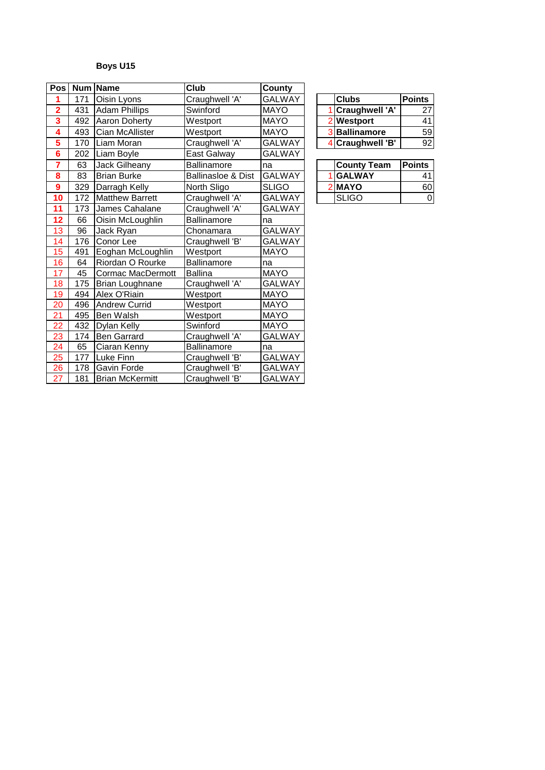| Pos                     |     | <b>Num Name</b>          | Club                          | County        |                    |               |
|-------------------------|-----|--------------------------|-------------------------------|---------------|--------------------|---------------|
| 1                       | 171 | Oisin Lyons              | Craughwell 'A'                | <b>GALWAY</b> | <b>Clubs</b>       | <b>Points</b> |
| $\overline{\mathbf{2}}$ | 431 | <b>Adam Phillips</b>     | Swinford                      | <b>MAYO</b>   | Craughwell 'A'     | 27            |
| 3                       | 492 | Aaron Doherty            | Westport                      | <b>MAYO</b>   | 2 Westport         | 41            |
| 4                       | 493 | Cian McAllister          | Westport                      | <b>MAYO</b>   | 3 Ballinamore      | 59            |
| 5                       | 170 | Liam Moran               | Craughwell 'A'                | <b>GALWAY</b> | 4 Craughwell 'B'   | 92            |
| 6                       | 202 | Liam Boyle               | East Galway                   | <b>GALWAY</b> |                    |               |
| 7                       | 63  | Jack Gilheany            | Ballinamore                   | na            | <b>County Team</b> | <b>Points</b> |
| 8                       | 83  | <b>Brian Burke</b>       | <b>Ballinasloe &amp; Dist</b> | <b>GALWAY</b> | <b>GALWAY</b>      | 41            |
| 9                       | 329 | Darragh Kelly            | North Sligo                   | <b>SLIGO</b>  | 2 MAYO             | 60            |
| 10                      | 172 | <b>Matthew Barrett</b>   | Craughwell 'A'                | <b>GALWAY</b> | <b>SLIGO</b>       | 0             |
| 11                      | 173 | James Cahalane           | Craughwell 'A'                | <b>GALWAY</b> |                    |               |
| 12                      | 66  | Oisin McLoughlin         | <b>Ballinamore</b>            | na            |                    |               |
| 13                      | 96  | Jack Ryan                | Chonamara                     | <b>GALWAY</b> |                    |               |
| 14                      | 176 | Conor Lee                | Craughwell 'B'                | <b>GALWAY</b> |                    |               |
| 15                      | 491 | Eoghan McLoughlin        | Westport                      | <b>MAYO</b>   |                    |               |
| 16                      | 64  | Riordan O Rourke         | <b>Ballinamore</b>            | na            |                    |               |
| 17                      | 45  | <b>Cormac MacDermott</b> | <b>Ballina</b>                | <b>MAYO</b>   |                    |               |
| 18                      | 175 | Brian Loughnane          | Craughwell 'A'                | GALWAY        |                    |               |
| 19                      | 494 | Alex O'Riain             | Westport                      | <b>MAYO</b>   |                    |               |
| 20                      | 496 | <b>Andrew Currid</b>     | Westport                      | <b>MAYO</b>   |                    |               |
| 21                      | 495 | Ben Walsh                | Westport                      | <b>MAYO</b>   |                    |               |
| 22                      | 432 | Dylan Kelly              | Swinford                      | <b>MAYO</b>   |                    |               |
| 23                      | 174 | <b>Ben Garrard</b>       | Craughwell 'A'                | <b>GALWAY</b> |                    |               |
| 24                      | 65  | Ciaran Kenny             | Ballinamore                   | na            |                    |               |
| 25                      | 177 | Luke Finn                | Craughwell 'B'                | <b>GALWAY</b> |                    |               |
| 26                      | 178 | Gavin Forde              | Craughwell 'B'                | GALWAY        |                    |               |
| 27                      | 181 | <b>Brian McKermitt</b>   | Craughwell 'B'                | GALWAY        |                    |               |

| <b>Clubs</b>     | <b>Points</b> |
|------------------|---------------|
| 1 Craughwell 'A' | 27            |
| 2 Westport       | 41            |
| 3 Ballinamore    | 59            |
| 4 Craughwell 'B' | ۹ź            |

| County Team  | <b>Points</b> |
|--------------|---------------|
| 1 GALWAY     | 4'            |
| 2 MAYO       |               |
| <b>SLIGO</b> |               |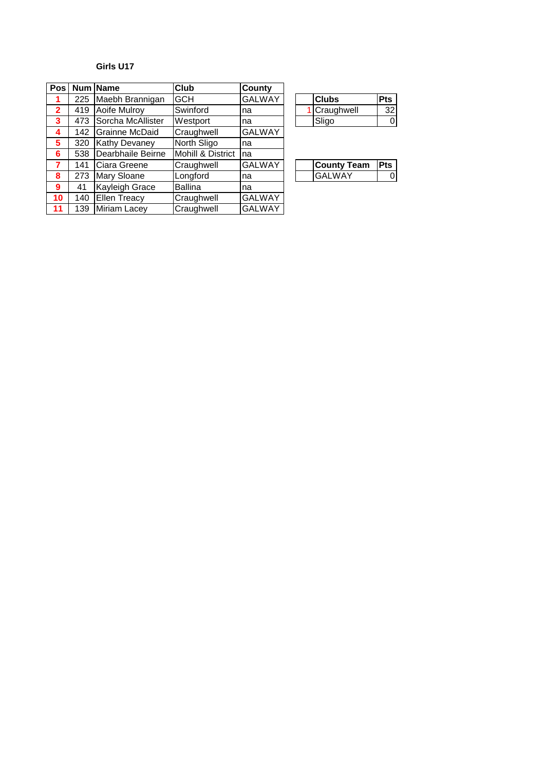| Pos            |     | Num Name          | <b>Club</b>       | County        |                    |            |
|----------------|-----|-------------------|-------------------|---------------|--------------------|------------|
| 1              | 225 | Maebh Brannigan   | <b>GCH</b>        | <b>GALWAY</b> | <b>Clubs</b>       | <b>Pts</b> |
| $\overline{2}$ | 419 | Aoife Mulroy      | Swinford          | na            | Craughwell         | 32         |
| 3              | 473 | Sorcha McAllister | Westport          | na            | Sligo              | 0          |
| 4              | 142 | Grainne McDaid    | Craughwell        | <b>GALWAY</b> |                    |            |
| 5              | 320 | Kathy Devaney     | North Sligo       | na            |                    |            |
| 6              | 538 | Dearbhaile Beirne | Mohill & District | na            |                    |            |
| 7              | 141 | Ciara Greene      | Craughwell        | <b>GALWAY</b> | <b>County Team</b> | <b>Pts</b> |
| 8              | 273 | Mary Sloane       | Longford          | na            | <b>GALWAY</b>      | 0          |
| 9              | 41  | Kayleigh Grace    | <b>Ballina</b>    | na            |                    |            |
| 10             | 140 | Ellen Treacy      | Craughwell        | <b>GALWAY</b> |                    |            |
| 11             | 139 | Miriam Lacey      | Craughwell        | <b>GALWAY</b> |                    |            |

| Clubs      |  |
|------------|--|
| Craughwell |  |
| Sligo      |  |

| <b>County Team</b> | <b>IPts</b> |
|--------------------|-------------|
| <b>GALWAY</b>      |             |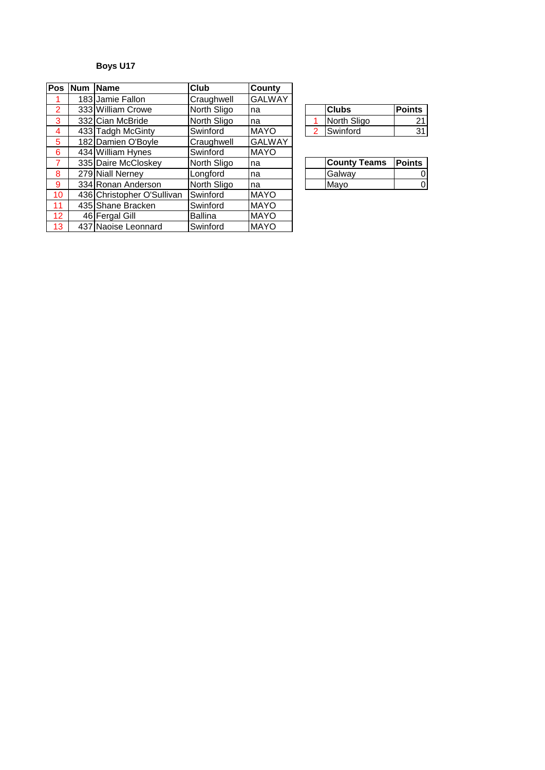| Pos             | <b>Num</b> | <b>Name</b>                | Club           | <b>County</b> |   |                     |               |
|-----------------|------------|----------------------------|----------------|---------------|---|---------------------|---------------|
|                 |            | 183 Jamie Fallon           | Craughwell     | <b>GALWAY</b> |   |                     |               |
| 2               |            | 333 William Crowe          | North Sligo    | na            |   | <b>Clubs</b>        | <b>Points</b> |
| 3               |            | 332 Cian McBride           | North Sligo    | na            |   | North Sligo         | 21            |
| 4               |            | 433 Tadgh McGinty          | Swinford       | <b>MAYO</b>   | 2 | Swinford            | 31            |
| 5               |            | 182 Damien O'Boyle         | Craughwell     | GALWAY        |   |                     |               |
| 6               |            | 434 William Hynes          | Swinford       | <b>MAYO</b>   |   |                     |               |
| $\overline{7}$  |            | 335 Daire McCloskey        | North Sligo    | na            |   | <b>County Teams</b> | <b>Points</b> |
| 8               |            | 279 Niall Nerney           | Longford       | na            |   | Galway              | 0             |
| 9               |            | 334 Ronan Anderson         | North Sligo    | Ina           |   | Mayo                | 0             |
| 10              |            | 436 Christopher O'Sullivan | Swinford       | <b>MAYO</b>   |   |                     |               |
| 11              |            | 435 Shane Bracken          | Swinford       | <b>MAYO</b>   |   |                     |               |
| 12 <sup>°</sup> |            | 46 Fergal Gill             | <b>Ballina</b> | <b>MAYO</b>   |   |                     |               |
| 13              |            | 437 Naoise Leonnard        | Swinford       | <b>MAYO</b>   |   |                     |               |

| Clubs           | <b>Points</b> |
|-----------------|---------------|
| North Sligo     |               |
| <b>Swinford</b> |               |

| <b>County Teams</b> | <b>Points</b> |
|---------------------|---------------|
| Galway              |               |
| Mayo                |               |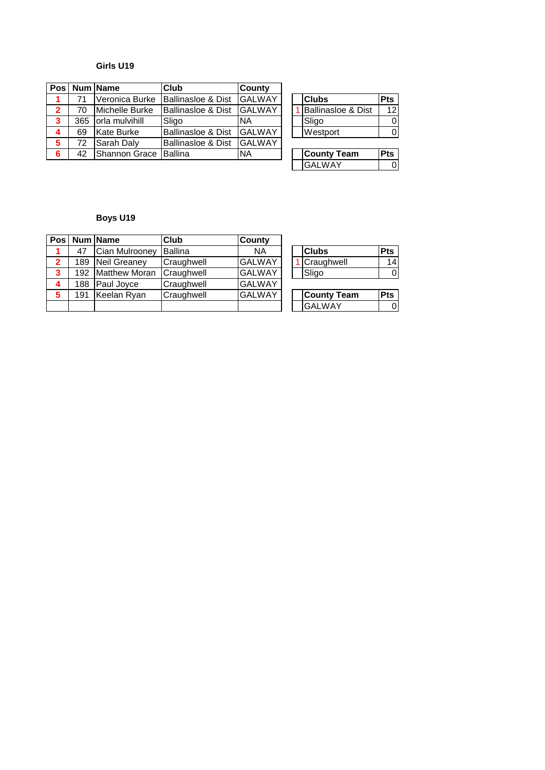|              |     | Pos   Num   Name  | Club                          | <b>County</b> |  |                               |            |
|--------------|-----|-------------------|-------------------------------|---------------|--|-------------------------------|------------|
|              |     | Veronica Burke    | Ballinasloe & Dist            | <b>GALWAY</b> |  | <b>Clubs</b>                  | <b>Pts</b> |
| $\mathbf{2}$ | 70  | Michelle Burke    | <b>Ballinasloe &amp; Dist</b> | <b>GALWAY</b> |  | <b>Ballinasloe &amp; Dist</b> | 12         |
| 3            | 365 | orla mulvihill    | Sligo                         | <b>INA</b>    |  | Sligo                         | 0          |
| 4            | 69  | <b>Kate Burke</b> | <b>Ballinasloe &amp; Dist</b> | <b>GALWAY</b> |  | Westport                      | 0          |
| 5            | 72  | Sarah Daly        | <b>Ballinasloe &amp; Dist</b> | <b>GALWAY</b> |  |                               |            |
| 6            | 42  | Shannon Grace     | <b>Ballina</b>                | <b>INA</b>    |  | <b>County Team</b>            | <b>Pts</b> |
|              |     |                   |                               |               |  |                               |            |

| <b>Clubs</b>                  | <b>Pts</b>      |
|-------------------------------|-----------------|
| <b>Ballinasloe &amp; Dist</b> | 12 <sub>1</sub> |
| Sligo                         |                 |
| Westport                      |                 |
|                               |                 |

| ounty Team     |  |
|----------------|--|
| <b>IGALWAY</b> |  |

|              |     | Pos Num Name      | Club           | County        |  |                    |            |
|--------------|-----|-------------------|----------------|---------------|--|--------------------|------------|
| 1.           | 47  | Cian Mulrooney    | <b>Ballina</b> | <b>NA</b>     |  | <b>Clubs</b>       | <b>Pts</b> |
| $\mathbf{2}$ | 189 | Neil Greaney      | Craughwell     | <b>GALWAY</b> |  | Craughwell         | 14         |
| 3            |     | 192 Matthew Moran | Craughwell     | <b>GALWAY</b> |  | Sligo              | 0          |
| 4            | 188 | Paul Joyce        | Craughwell     | <b>GALWAY</b> |  |                    |            |
| 5            | 191 | Keelan Ryan       | Craughwell     | <b>GALWAY</b> |  | <b>County Team</b> | <b>Pts</b> |
|              |     |                   |                |               |  | <b>GALWAY</b>      | 0          |

| <b>Clubs</b> | ts |
|--------------|----|
| Craughwell   |    |
| <b>Sligo</b> |    |
|              |    |

| lCountv Team   |  |
|----------------|--|
| <b>IGALWAY</b> |  |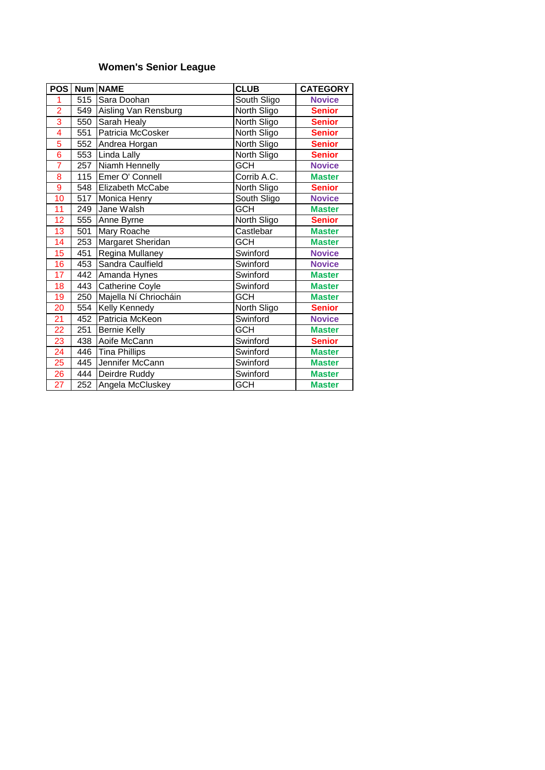### **Women's Senior League**

| <b>POS</b>              |                  | <b>Num NAME</b>       | <b>CLUB</b> | <b>CATEGORY</b> |
|-------------------------|------------------|-----------------------|-------------|-----------------|
| 1                       | 515              | Sara Doohan           | South Sligo | <b>Novice</b>   |
| $\overline{2}$          | 549              | Aisling Van Rensburg  | North Sligo | <b>Senior</b>   |
| 3                       | 550              | Sarah Healy           | North Sligo | <b>Senior</b>   |
| $\overline{\mathbf{4}}$ | 551              | Patricia McCosker     | North Sligo | <b>Senior</b>   |
| 5                       | 552              | Andrea Horgan         | North Sligo | <b>Senior</b>   |
| 6                       | 553              | Linda Lally           | North Sligo | <b>Senior</b>   |
| 7                       | 257              | Niamh Hennelly        | <b>GCH</b>  | <b>Novice</b>   |
| 8                       | 115              | Emer O' Connell       | Corrib A.C. | <b>Master</b>   |
| 9                       | 548              | Elizabeth McCabe      | North Sligo | <b>Senior</b>   |
| 10                      | $\overline{517}$ | Monica Henry          | South Sligo | <b>Novice</b>   |
| 11                      | 249              | Jane Walsh            | <b>GCH</b>  | <b>Master</b>   |
| 12                      | 555              | Anne Byrne            | North Sligo | <b>Senior</b>   |
| 13                      | 501              | Mary Roache           | Castlebar   | <b>Master</b>   |
| 14                      | 253              | Margaret Sheridan     | <b>GCH</b>  | <b>Master</b>   |
| 15                      | 451              | Regina Mullaney       | Swinford    | <b>Novice</b>   |
| $\overline{16}$         | 453              | Sandra Caulfield      | Swinford    | <b>Novice</b>   |
| 17                      | 442              | Amanda Hynes          | Swinford    | <b>Master</b>   |
| 18                      | 443              | Catherine Coyle       | Swinford    | <b>Master</b>   |
| 19                      | 250              | Majella Ní Chriocháin | <b>GCH</b>  | <b>Master</b>   |
| 20                      | 554              | <b>Kelly Kennedy</b>  | North Sligo | <b>Senior</b>   |
| $\overline{21}$         | 452              | Patricia McKeon       | Swinford    | <b>Novice</b>   |
| $\overline{22}$         | 251              | Bernie Kelly          | <b>GCH</b>  | <b>Master</b>   |
| 23                      | 438              | Aoife McCann          | Swinford    | <b>Senior</b>   |
| $\overline{24}$         | 446              | <b>Tina Phillips</b>  | Swinford    | <b>Master</b>   |
| 25                      | 445              | Jennifer McCann       | Swinford    | <b>Master</b>   |
| 26                      | 444              | Deirdre Ruddy         | Swinford    | <b>Master</b>   |
| 27                      | 252              | Angela McCluskey      | <b>GCH</b>  | <b>Master</b>   |